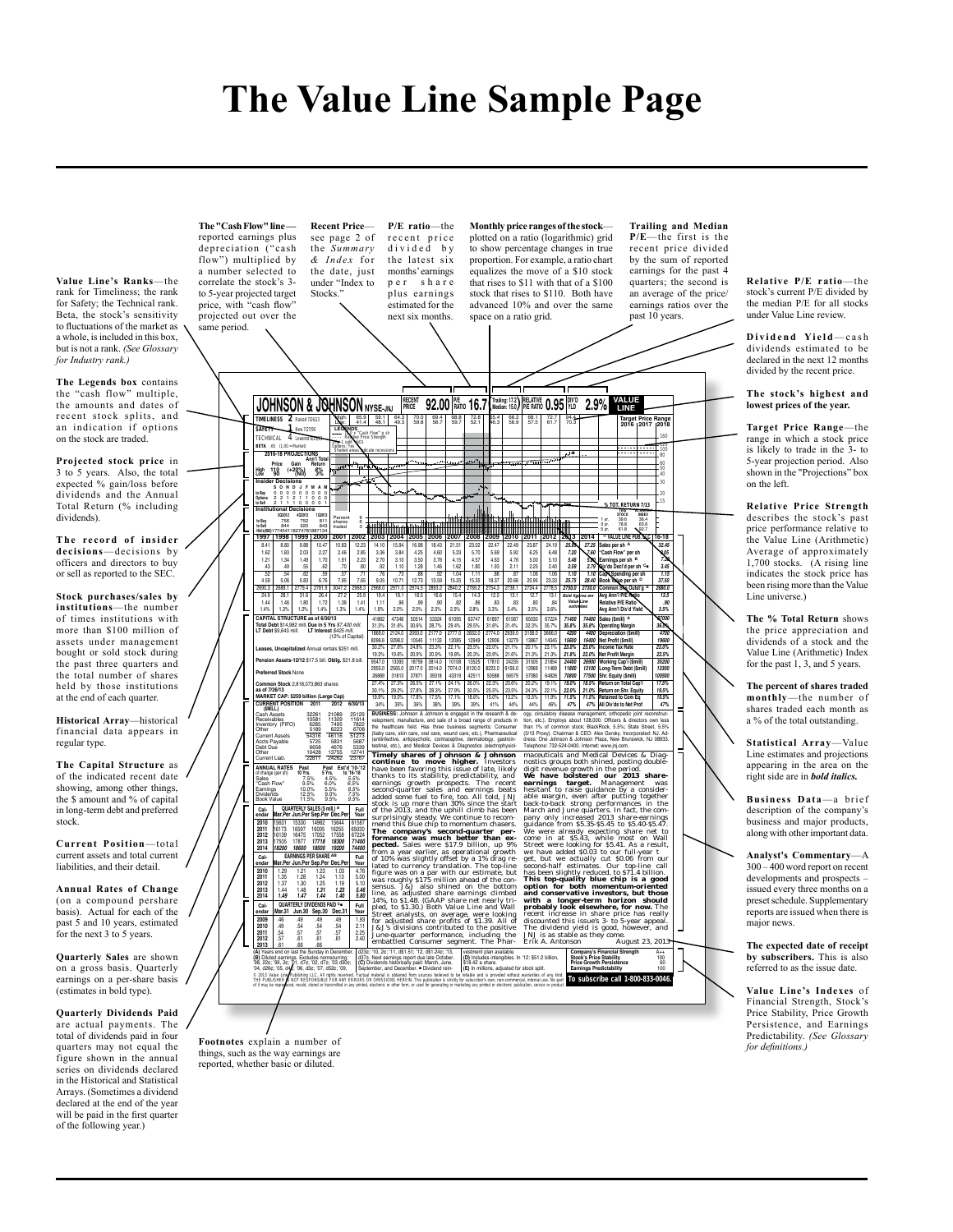# **The Value Line Sample Page**

**Value Line's Ranks**—the rank for Timeliness; the rank for Safety; the Technical rank. Beta, the stock's sensitivity to fluctuations of the market as a whole, is included in this box, but is not a rank. *(See Glossary for Industry rank.)*

**The Legends box** contains the "cash flow" multiple, the amounts and dates of recent stock splits, and an indication if options on the stock are traded.

**Projected stock price** in 3 to 5 years. Also, the total expected % gain/loss before dividends and the Annual Total Return (% including dividends)

**The record of insider decisions**—decisions by officers and directors to buy or sell as reported to the SEC.

**Stock purchases/sales by institutions**—the number of times institutions with more than \$100 million of assets under management bought or sold stock during the past three quarters and the total number of shares held by those institutions at the end of each quarter

**Historical Array**—historical financial data appears in regular type.

**The Capital Structure** as of the indicated recent date showing, among other things, the \$ amount and % of capital in long-term debt and preferred stock.

**Current Position**—total current assets and total current liabilities, and their detail.

**Annual Rates of Change** (on a compound pershare basis). Actual for each of the past 5 and 10 years, estimated for the next 3 to 5 years.

**Quarterly Sales** are shown on a gross basis. Quarterly earnings on a per-share basis (estimates in bold type).

**Quarterly Dividends Paid**  are actual payments. The total of dividends paid in four quarters may not equal the figure shown in the annual series on dividends declared in the Historical and Statistical Arrays. (Sometimes a dividend declared at the end of the year will be paid in the first quarter of the following year.)

**The "Cash Flow" line**  reported earnings plus depreciation ("cash flow") multiplied by a number selected to correlate the stock's 3 to 5-year projected target price, with "cash flow projected out over the Stocks.

**Recent Price** see page 2 of the *Summary & I n d e x* f o r the date just under "Index to **P/E ratio**—the recent price divided by the latest six months' earnings p e r share plus earnings estimated for the next six months.

**Monthly price ranges of the stock** plotted on a ratio (logarithmic) grid to show percentage changes in true proportion. For example, a ratio chart equalizes the move of a \$10 stock that rises to \$11 with that of a \$100 stock that rises to \$110. Both have advanced 10% and over the same

space on a ratio grid. ame period. **JOHNSON & JOHNSON** MYSE-JNJ **PRICE 92.00 PE. 18.10 16.7 (Trailing 17.2)**<br>
TIMELINESS 2 Ridget 17.2413 **18.2 18.5 18.2 18.2 18.2 18.2 18.2 18.2 18.2 18.2 18.2 18.3 18.3 18.3 16.7** *(Trailing:* 17.2) RELATIVE 0.95 WLD 2.9% **ValuE linE rECEnt PriCE P/E NESS 2** Raised 7/26/13 High: 65.9 59.1 64.3 70.0 69.4 68.8 72.8 65.4 66.2 68.1 72.7 94.4 **target Price range 2016 2017 2018** Low: 41.4 48.1 49.3 59.8 56.7 59.7 52.1 46.3 56.9 57.5 61.7 70.3 **SAFETY 1** New 7/27/90 **LEGENDS<br>-- 11.0** x ″Cash Flow″ p sh<br>---- Relative Price Strength<br>2-for-1 split 6/01  $\overline{A}$ 160 120 **BETA** .65 (1.00 = Market) **2016-18 ProJECtionS ann'l total** Options: Yes 100 *Shaded areas indicate recessions*  $\overline{\mathbf{u}}$ 80 **Contact Time** 60 **Price gain return High 110 (+20%) 8% low 90 (nil) 3%** 50 40 **insider decisions S o n d J f M a M to Buy** 0 0 0 0 0 0 0 0 0 **options** 2 2 1 2 1 1 0 0 0 30 15 **OT. RETURI to Sell** 2 1 1 1 0 0 0 0 1 **institutional decisions THIS VL ARITH.\* INDEX**<br>36.4<br>63.6 ŧ **3Q2012 4Q2012 1Q2013 to Buy** 756 752 811 Percent 9 1 yr. 39.6 36.4 3 yr. 78.8 63.6 shares 6 **to Sell** 844 920 843 **Hld's(000)**177454118274781887134 traded 3 5 yr. 61.8 92.7 **1997 1998 1999 2000 2001 2002 2003 2004 2005 2006 2007 2008 2009 2010 2011 2012 2013 2014** © **ValuE linE PuB. llC 16-18** 23.87 24.19 **25.95 27.25 Sales per sh <sup>a</sup> 32.45** 8.41 8.80 9.88 10.47 10.83 12.23 14.10 15.94 16.98 18.43 21.51 23.02 22.47 22.49 1.62 1.83 2.03 2.27 2.46 2.85 3.36 3.84 4.25 4.60 5.23 5.70 5.69 5.92 6.25 6.48 **7.20 7.60 ''Cash flow'' per sh 9.05** 1.21 1.34 1.49 1.70 1.91 2.23 2.70 3.10 3.50 3.76 4.15 4.57 4.63 4.76 5.00 5.10 **5.46 5.80 Earnings per sh <sup>B</sup> 7.30** 2.25 2.40 **2.59 2.79 div'ds decl'd per sh <sup>C</sup>**■ **3.45** .43 .49 .55 .62 .70 .80 .92 1.10 1.28 1.46 1.62 1.80 1.93 2.11 .52 .54 .62 .59 .57 .71 .76 .73 .88 .92 1.04 1.11 .86 .87 4.59 5.06 5.83 6.76 7.95 7.65 9.05 10.71 12.73 13.59 15.25 15.35 18.37 20.66 1.06 1.06 **1.10 1.10 Cap'l Spending per sh 1.15** 20.95 23.33 **25.75 28.40 Book Value per sh <sup>d</sup> 37.50** 2724.4 2778.5 **2750.0 2730.0 Common Shs outst'g <sup>E</sup> 2680.0** 200313 20081 27794 27613 30472 20483 20483 204710 204743 20483 20492 27094 27094 27094 2708<br>24.9 24.1 35.8 25.1 37.2 25.4 27.2 25.5 19.4 18.1 18.5 18.5 16.6 15.4 14.3 12.5 13.1<br>1.4% 1.3% 1.2% 1.4% 1.3% 1.4% 1.8% 2.0% 2.0% 12.7 13.1<br>**Bold Bold figures**<br>3.5% 3.6% **avg ann'l P/E ratio 13.5** .80 .84 **relative P/E ratio .90** 3.5% 3.6% **avg ann'l div'd Yield 3.5% Value Line estimates** 65030 67224 **71400 74400 Sales (\$mill) <sup>a</sup> 87000** 32.3% 35.7% **35.8% 35.8% operating Margin 36.0% CaPital StruCturE as of 6/30/13 total debt** \$14,982 mill. **due in 5 Yrs** \$7,400 mill. **lt debt** \$9,643 mill. **lt interest** \$425 mill. 41862 47348 50514 53324 61095 63747 61897 61587 31.3% 31.6% 30.6% 28.7% 29.4% 29.5% 31.6% 31.4% 1869.0 2124.0 2093.0 2177.0 2777.0 2832.0 2774.0 2939.0 8096.6 9298.0 10545 11133 12085 12949 12906 13279 30.2% 27.6% 24.8% 23.3% 22.1% 23.5% 22.0% 21.1% 19.3% 19.6% 20.9% 20.9% 19.8% 20.3% 20.9% 21.6% 9547.0 13393 18759 3814.0 10108 13525 17810 24235 2955.0 2565.0 2017.0 2014.0 7074.0 8120.0 8223.0 9156.0 26869 31813 37871 39318 43319 42511 50588 56579 27.4% 27.3% 26.5% 27.1% 24.1% 26.0% 22.3% 20.6% 30.1% 29.2% 27.8% 28.3% 27.9% 30.5% 25.5% 23.5% 19.9% 19.0% 17.8% 17.5% 17.1% 18.6% 15.0% 13.2% 34% 35% 36% 38% 39% 39% 41% 44% 1880 1240 2050 217/0 227/1 282 229 21740 2439 37580 3880 4424 1560 4600 4600 helpeaning ment, 1890<br>1895 2280 1654 1713 1726 1294 1290 1279 1380 1430 450 460 1600 helpeaning ment in River 2005 2295 1736 1896 22<br>1897 1398 18 (12% of Capital) **leases, uncapitalized** Annual rentals \$251 mill. **Pension assets-12/12** \$17.5 bill. **oblig.** \$21.8 bill. **Preferred Stock** None **Common Stock** 2,818,073,863 shares **as of 7/26/13 MarKEt CaP: \$259 billion (large Cap) URRENT POSIT (\$Mill.)** Cash Assets 32261 21089 25129 Receivables 10581 11309 11614 Inventory (FIFO) 6285 7495 7822 Other 5189 6223 6708 velopment, manufacture, and sale of a broad range of products in<br>the healthcare field. Has three business segments: Consumer<br>(baby care, skin care, oral care, wound care, etc.), Pharmaceutical<br>(antimfective, antipsychotic, tion, etc.). Employs about 128,000. Officers & directors own less than 1% of common stock; BlackRock, 5.5%; State Street, 5.5% (3/13 Proxy). Chairman & CEO: Alex Gorsky. Incorporated: NJ. Ad-Current Assets<br>
Current Assets<br>
Content Assets<br>
Content Lab. 22516<br>
Content Lab. 22516<br>
Content Lab. 22517<br>
Current Lab. 22517<br>
Current Lab. 22517<br>
Current Lab. 22517<br>
Current Lab. 22517<br>
Current Lab. 22517<br>
Current Lab. dress: One Johnson & Johnson Plaza, New Brunswick, NJ 08933. Telephone: 732-524-0400. Internet: www.jnj.com.

Timely shares of Johnson & Johnson Continue to move higher. Investors<br>continue to move higher. Investors<br>have been favoring this issue of late likely<br>have been favoring this state of late likely percentably, and<br>deed some maceuticals and Medical Devices & Diagnostics groups both shared, positing double-<br>mostics groups both shined, posting double-<br>digit revenue growth in the period. And the period of the transmit<br>of the standard both and the

**2013** .61 .66 .66 **(a)** Years end on last the Sunday in December. **(B)** Diluted earnings. Excludes nonrecurring: '98, 22¢; '99, 2¢; '01, d7¢; '02, d7¢; '03 d30¢; '04, d26¢; '05, d4¢; '06, d3¢; '07, d52¢; '09,

d23¢; '10, 2¢; '11, d\$1.51; '12, d\$1.24¢; '13, | vestment plan available.<br>d37¢. Next earnings report due late October. **(D)** Includes intangibles. In '12: \$51.2 billion, **Stock's Price Stability** 100 **Earnings Predictability** 100 (B) David and may be a comparing the service of the service. (B) heldes interprete, in 2: \$1 bilion, \$1000 \$100<br>- 2011 Was Lindwick David Comparing the service of the service of the service of the service of the service o

**Price growth Persistence** 60

**Trailing and Median P/E**—the first is the recent price divided by the sum of reported earnings for the past 4 quarters; the second is an average of the price/ earnings ratios over the past 10 years.

**Relative P/E ratio**—the stock's current P/E divided by the median P/E for all stocks under Value Line review.

Dividend Yield-cash dividends estimated to be declared in the next 12 months divided by the recent price.

**The stock's highest and lowest prices of the year.**

**Target Price Range**—the range in which a stock price is likely to trade in the 3- to 5-year projection period. Also shown in the "Projections" box on the left.

**Relative Price Strength**  describes the stock's past price performance relative to the Value Line (Arithmetic) Average of approximately 1,700 stocks. (A rising line indicates the stock price has been rising more than the Value Line universe.)

**The % Total Return** shows the price appreciation and dividends of a stock and the Value Line (Arithmetic) Index for the past 1, 3, and 5 years.

**The percent of shares traded monthly**—the number of shares traded each month as a % of the total outstanding.

**Statistical Array**—Value Line estimates and projections appearing in the area on the right side are in *bold italics.*

**Business Data**—a brief description of the company's business and major products, along with other important data.

**Analyst's Commentary**—A 300 – 400 word report on recent developments and prospects – issued every three months on a preset schedule. Supplementary reports are issued when there is major news.

**The expected date of receipt by subscribers.** This is also referred to as the issue date.

**Value Line's Indexes** of Financial Strength, Stock's Price Stability, Price Growth Persistence, and Earnings Predictability. *(See Glossary for definitions.)*

**Footnotes** explain a number of things, such as the way earnings are reported, whether basic or diluted.